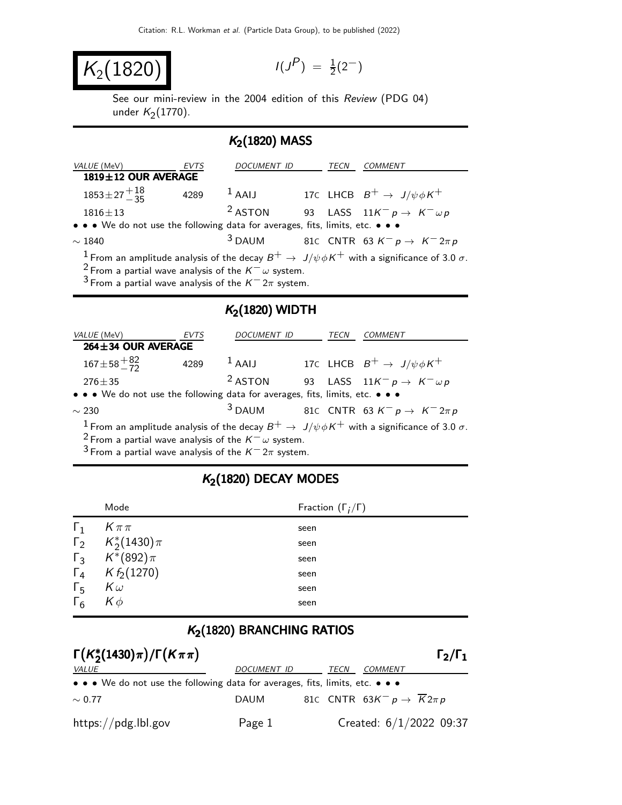$$
K_2(1820)
$$

$$
I(J^P) \; = \; \tfrac{1}{2}(2^-)
$$

See our mini-review in the 2004 edition of this Review (PDG 04) under  $K_2(1770)$ .

## $K<sub>2</sub>(1820)$  MASS

| <i>VALUE</i> (MeV)                                                            | EVTS | DOCUMENT ID |  | TECN | <i>COMMENT</i>                                                                                                       |
|-------------------------------------------------------------------------------|------|-------------|--|------|----------------------------------------------------------------------------------------------------------------------|
| 1819±12 OUR AVERAGE                                                           |      |             |  |      |                                                                                                                      |
| $1853 \pm 27 + 18$                                                            | 4289 | $1$ AAIJ    |  |      | 17C LHCB $B^+ \rightarrow J/\psi \phi K^+$                                                                           |
| $1816 \pm 13$                                                                 |      | $2$ ASTON   |  |      | 93 LASS $11K^- p \rightarrow K^- \omega p$                                                                           |
| • • • We do not use the following data for averages, fits, limits, etc. • • • |      |             |  |      |                                                                                                                      |
| $\sim$ 1840                                                                   |      |             |  |      | <sup>3</sup> DAUM 81C CNTR 63 $K^- p \rightarrow K^- 2\pi p$                                                         |
|                                                                               |      |             |  |      | <sup>1</sup> From an amplitude analysis of the decay $B^+ \to J/\psi \phi K^+$ with a significance of 3.0 $\sigma$ . |
| <sup>2</sup> From a partial wave analysis of the $K^- \omega$ system.         |      |             |  |      |                                                                                                                      |
| <sup>3</sup> From a partial wave analysis of the $K^- 2\pi$ system.           |      |             |  |      |                                                                                                                      |

## $K<sub>2</sub>(1820)$  WIDTH

| VALUE (MeV)                                                                   | <b>EVTS</b> | DOCUMENT ID        | TECN | <b>COMMENT</b>                                                                                                       |
|-------------------------------------------------------------------------------|-------------|--------------------|------|----------------------------------------------------------------------------------------------------------------------|
| $264 \pm 34$ OUR AVERAGE                                                      |             |                    |      |                                                                                                                      |
| $167 \pm 58 + \frac{82}{72}$                                                  | 4289        | $1$ AAIJ           |      | 17C LHCB $B^+ \rightarrow J/\psi \phi K^+$                                                                           |
| $276 \pm 35$                                                                  |             | <sup>2</sup> ASTON |      | 93 LASS $11K^- p \rightarrow K^- \omega p$                                                                           |
| • • • We do not use the following data for averages, fits, limits, etc. • • • |             |                    |      |                                                                                                                      |
| $\sim$ 230                                                                    |             | $3$ DAUM           |      | 81C CNTR 63 $K^- p \rightarrow K^- 2\pi p$                                                                           |
|                                                                               |             |                    |      | <sup>1</sup> From an amplitude analysis of the decay $B^+ \to J/\psi \phi K^+$ with a significance of 3.0 $\sigma$ . |

 $2$  From a partial wave analysis of the  $K^-\omega$  system.

 $3$  From a partial wave analysis of the  $K^-$  2π system.

## $K<sub>2</sub>(1820)$  DECAY MODES

|            | Mode                        | Fraction $(\Gamma_i/\Gamma)$ |
|------------|-----------------------------|------------------------------|
| $\Gamma_1$ | $K\pi\pi$                   | seen                         |
|            | $\Gamma_2$ $K_2^*(1430)\pi$ | seen                         |
|            | $\Gamma_3$ $K^*(892)\pi$    | seen                         |
|            | $\Gamma_4$ K $f_2(1270)$    | seen                         |
| $\Gamma_5$ | $K\omega$                   | seen                         |
| $\Gamma_6$ | $K\phi$                     | seen                         |

## $K<sub>2</sub>(1820)$  BRANCHING RATIOS

| $\Gamma(K_{2}^{*}(1430)\pi)/\Gamma(K\pi\pi)$                                                                          |                    |      |                                                                |  |
|-----------------------------------------------------------------------------------------------------------------------|--------------------|------|----------------------------------------------------------------|--|
| <i>VALUE</i>                                                                                                          | <i>DOCUMENT ID</i> | TECN | COMMENT                                                        |  |
| $\bullet \bullet \bullet$ We do not use the following data for averages, fits, limits, etc. $\bullet \bullet \bullet$ |                    |      |                                                                |  |
| $\sim 0.77$                                                                                                           | DAUM               |      | 81C CNTR 63K <sup>-</sup> $p \rightarrow \overline{K} 2 \pi p$ |  |
| $\frac{https://pdg.1b1.gov}{%$                                                                                        | Page 1             |      | Created: $6/1/2022$ 09:37                                      |  |